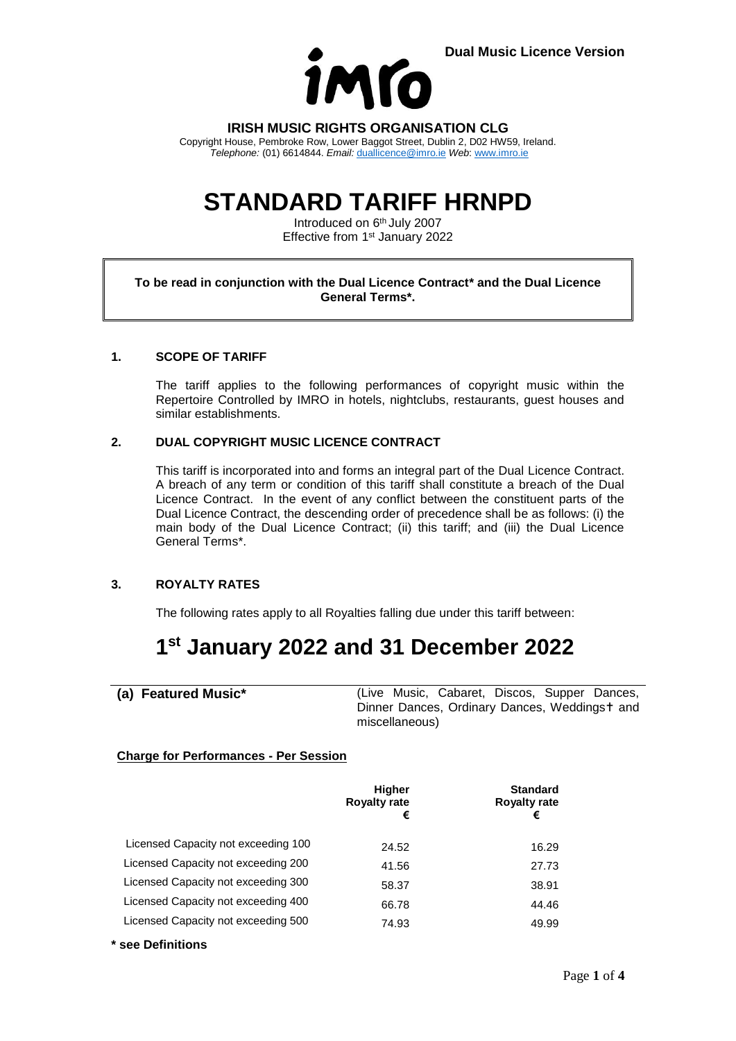

**IRISH MUSIC RIGHTS ORGANISATION CLG**

Copyright House, Pembroke Row, Lower Baggot Street, Dublin 2, D02 HW59, Ireland. *Telephone:* (01) 6614844. *Email:* [duallicence@imro.ie](mailto:duallicence@imro.ie) *Web*: [www.imro.ie](http://www.imro.ie/)

# **STANDARD TARIFF HRNPD**

Introduced on 6<sup>th</sup> July 2007 Effective from 1<sup>st</sup> January 2022

#### **To be read in conjunction with the Dual Licence Contract\* and the Dual Licence General Terms\*.**

### **1. SCOPE OF TARIFF**

The tariff applies to the following performances of copyright music within the Repertoire Controlled by IMRO in hotels, nightclubs, restaurants, guest houses and similar establishments.

### **2. DUAL COPYRIGHT MUSIC LICENCE CONTRACT**

This tariff is incorporated into and forms an integral part of the Dual Licence Contract. A breach of any term or condition of this tariff shall constitute a breach of the Dual Licence Contract. In the event of any conflict between the constituent parts of the Dual Licence Contract, the descending order of precedence shall be as follows: (i) the main body of the Dual Licence Contract; (ii) this tariff; and (iii) the Dual Licence General Terms\*.

### **3. ROYALTY RATES**

The following rates apply to all Royalties falling due under this tariff between:

# **1 st January 2022 and 31 December 2022**

**(a) Featured Music\*** (Live Music, Cabaret, Discos, Supper Dances, Dinner Dances, Ordinary Dances, Weddingst and miscellaneous)

### **Charge for Performances - Per Session**

|                                     | <b>Higher</b><br><b>Royalty rate</b><br>€ | <b>Standard</b><br><b>Royalty rate</b><br>€ |
|-------------------------------------|-------------------------------------------|---------------------------------------------|
| Licensed Capacity not exceeding 100 | 24.52                                     | 16.29                                       |
| Licensed Capacity not exceeding 200 | 41.56                                     | 27.73                                       |
| Licensed Capacity not exceeding 300 | 58.37                                     | 38.91                                       |
| Licensed Capacity not exceeding 400 | 66.78                                     | 44.46                                       |
| Licensed Capacity not exceeding 500 | 74.93                                     | 49.99                                       |

**\* see Definitions**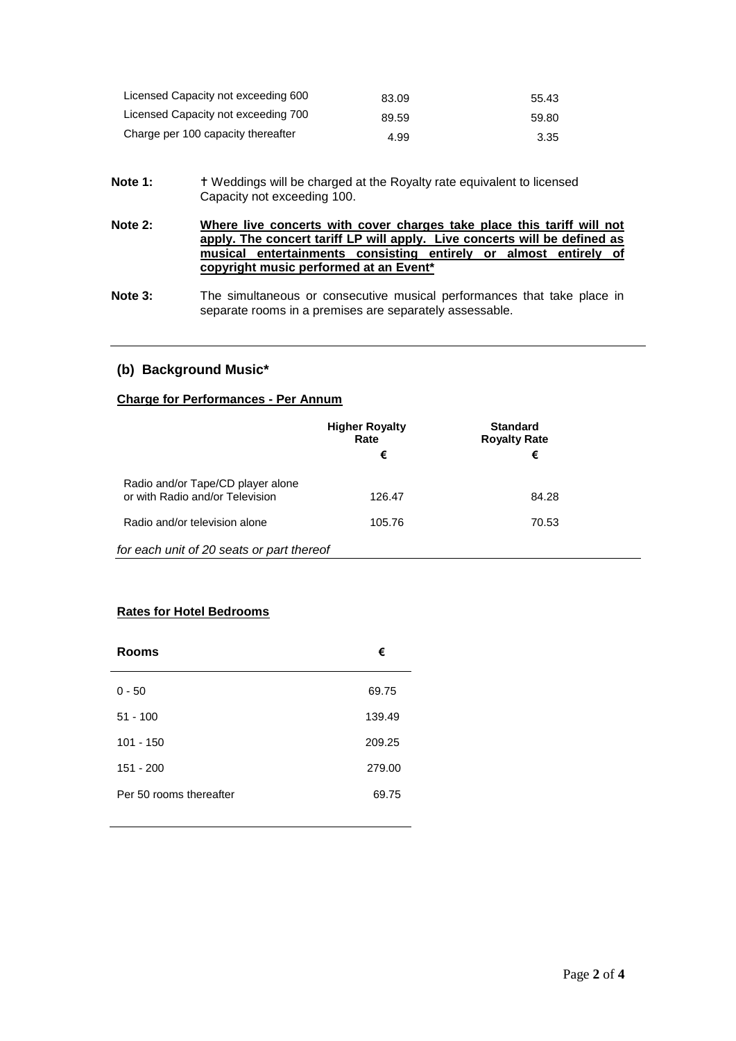| Licensed Capacity not exceeding 600 | 83.09 | 55.43 |
|-------------------------------------|-------|-------|
| Licensed Capacity not exceeding 700 | 89.59 | 59.80 |
| Charge per 100 capacity thereafter  | 4.99  | 3.35  |

- Note 1: **T** Weddings will be charged at the Royalty rate equivalent to licensed Capacity not exceeding 100.
- **Note 2: Where live concerts with cover charges take place this tariff will not apply. The concert tariff LP will apply. Live concerts will be defined as musical entertainments consisting entirely or almost entirely of copyright music performed at an Event\***
- **Note 3:** The simultaneous or consecutive musical performances that take place in separate rooms in a premises are separately assessable.

# **(b) Background Music\***

#### **Charge for Performances - Per Annum**

|                                                                      | <b>Higher Royalty</b><br>Rate<br>€ | <b>Standard</b><br><b>Royalty Rate</b><br>€ |  |
|----------------------------------------------------------------------|------------------------------------|---------------------------------------------|--|
| Radio and/or Tape/CD player alone<br>or with Radio and/or Television | 126.47                             | 84.28                                       |  |
| Radio and/or television alone                                        | 105.76                             | 70.53                                       |  |
| for each unit of 20 seats or part thereof                            |                                    |                                             |  |

# **Rates for Hotel Bedrooms**

| <b>Rooms</b>            | €      |
|-------------------------|--------|
| $0 - 50$                | 69.75  |
| $51 - 100$              | 139.49 |
| $101 - 150$             | 209.25 |
| $151 - 200$             | 279.00 |
| Per 50 rooms thereafter | 69.75  |
|                         |        |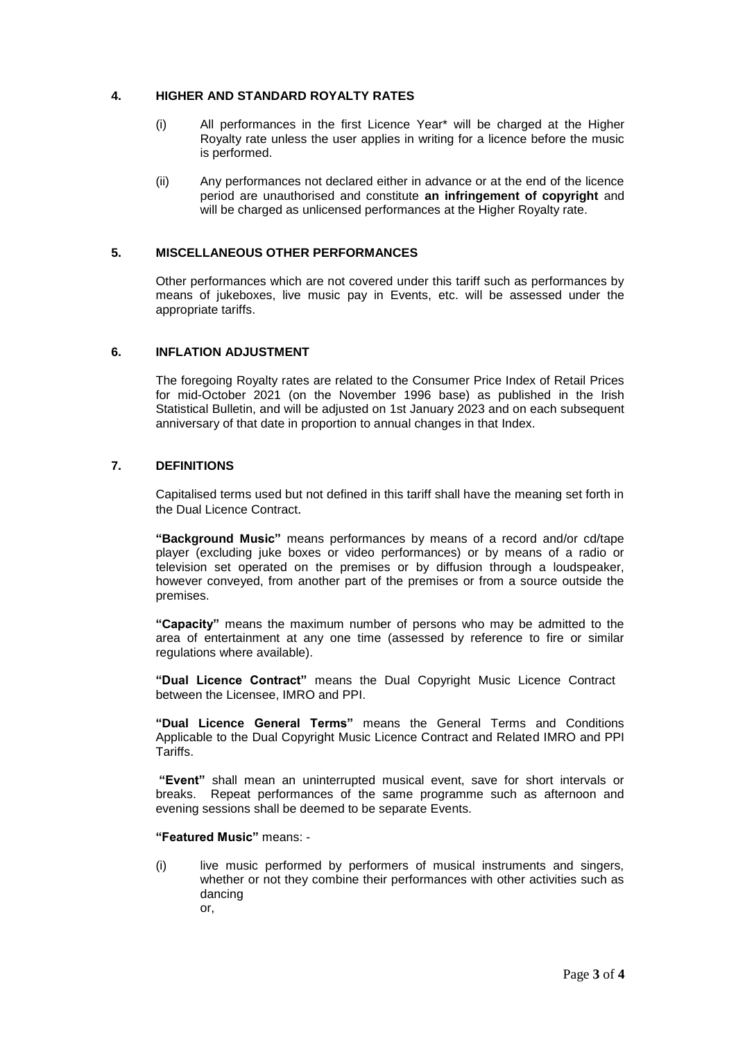#### **4. HIGHER AND STANDARD ROYALTY RATES**

- (i) All performances in the first Licence Year\* will be charged at the Higher Royalty rate unless the user applies in writing for a licence before the music is performed.
- (ii) Any performances not declared either in advance or at the end of the licence period are unauthorised and constitute **an infringement of copyright** and will be charged as unlicensed performances at the Higher Royalty rate.

#### **5. MISCELLANEOUS OTHER PERFORMANCES**

Other performances which are not covered under this tariff such as performances by means of jukeboxes, live music pay in Events, etc. will be assessed under the appropriate tariffs.

#### **6. INFLATION ADJUSTMENT**

The foregoing Royalty rates are related to the Consumer Price Index of Retail Prices for mid-October 2021 (on the November 1996 base) as published in the Irish Statistical Bulletin, and will be adjusted on 1st January 2023 and on each subsequent anniversary of that date in proportion to annual changes in that Index.

### **7. DEFINITIONS**

Capitalised terms used but not defined in this tariff shall have the meaning set forth in the Dual Licence Contract.

**"Background Music"** means performances by means of a record and/or cd/tape player (excluding juke boxes or video performances) or by means of a radio or television set operated on the premises or by diffusion through a loudspeaker, however conveyed, from another part of the premises or from a source outside the premises.

**"Capacity"** means the maximum number of persons who may be admitted to the area of entertainment at any one time (assessed by reference to fire or similar regulations where available).

**"Dual Licence Contract"** means the Dual Copyright Music Licence Contract between the Licensee, IMRO and PPI.

**"Dual Licence General Terms"** means the General Terms and Conditions Applicable to the Dual Copyright Music Licence Contract and Related IMRO and PPI Tariffs.

**"Event"** shall mean an uninterrupted musical event, save for short intervals or breaks. Repeat performances of the same programme such as afternoon and evening sessions shall be deemed to be separate Events.

#### **"Featured Music"** means: -

(i) live music performed by performers of musical instruments and singers, whether or not they combine their performances with other activities such as dancing or,